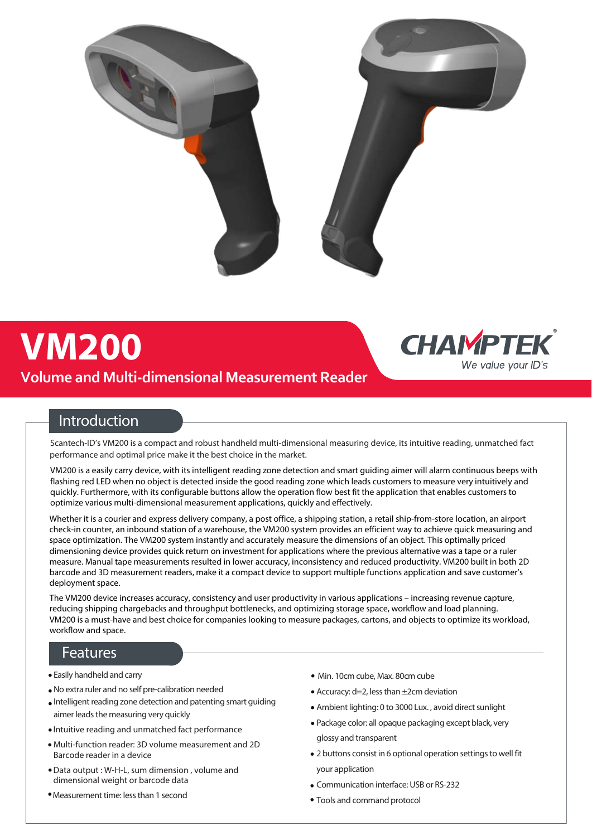

# **VM200**

## **Volume and Multi-dimensional Measurement Reader**



## **Introduction**

Scantech-ID's VM200 is a compact and robust handheld multi-dimensional measuring device, its intuitive reading, unmatched fact performance and optimal price make it the best choice in the market.

VM200 is a easily carry device, with its intelligent reading zone detection and smart guiding aimer will alarm continuous beeps with flashing red LED when no object is detected inside the good reading zone which leads customers to measure very intuitively and quickly. Furthermore, with its configurable buttons allow the operation flow best fit the application that enables customers to optimize various multi-dimensional measurement applications, quickly and effectively.

Whether it is a courier and express delivery company, a post office, a shipping station, a retail ship-from-store location, an airport check-in counter, an inbound station of a warehouse, the VM200 system provides an efficient way to achieve quick measuring and space optimization. The VM200 system instantly and accurately measure the dimensions of an object. This optimally priced dimensioning device provides quick return on investment for applications where the previous alternative was a tape or a ruler measure. Manual tape measurements resulted in lower accuracy, inconsistency and reduced productivity. VM200 built in both 2D barcode and 3D measurement readers, make it a compact device to support multiple functions application and save customer's deployment space.

The VM200 device increases accuracy, consistency and user productivity in various applications – increasing revenue capture, reducing shipping chargebacks and throughput bottlenecks, and optimizing storage space, workflow and load planning. VM200 is a must-have and best choice for companies looking to measure packages, cartons, and objects to optimize its workload, workflow and space.

### **Features**

- Easily handheld and carry
- No extra ruler and no self pre-calibration needed
- Intelligent reading zone detection and patenting smart guiding aimer leads the measuring very quickly
- Intuitive reading and unmatched fact performance
- Multi-function reader: 3D volume measurement and 2D Barcode reader in a device
- Data output : W-H-L, sum dimension , volume and dimensional weight or barcode data
- Measurement time: less than 1 second
- Min. 10cm cube, Max. 80cm cube
- Accuracy: d=2, less than ±2cm deviation
- Ambient lighting: 0 to 3000 Lux. , avoid direct sunlight
- Package color: all opaque packaging except black, very glossy and transparent
- 2 buttons consist in 6 optional operation settings to well fit your application
- Communication interface: USB or RS-232
- Tools and command protocol